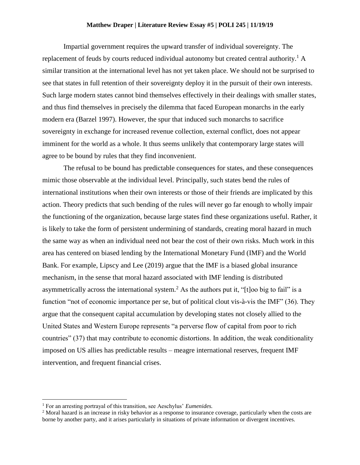## **Matthew Draper | Literature Review Essay #5 | POLI 245 | 11/19/19**

Impartial government requires the upward transfer of individual sovereignty. The replacement of feuds by courts reduced individual autonomy but created central authority.<sup>1</sup> A similar transition at the international level has not yet taken place. We should not be surprised to see that states in full retention of their sovereignty deploy it in the pursuit of their own interests. Such large modern states cannot bind themselves effectively in their dealings with smaller states, and thus find themselves in precisely the dilemma that faced European monarchs in the early modern era (Barzel 1997). However, the spur that induced such monarchs to sacrifice sovereignty in exchange for increased revenue collection, external conflict, does not appear imminent for the world as a whole. It thus seems unlikely that contemporary large states will agree to be bound by rules that they find inconvenient.

The refusal to be bound has predictable consequences for states, and these consequences mimic those observable at the individual level. Principally, such states bend the rules of international institutions when their own interests or those of their friends are implicated by this action. Theory predicts that such bending of the rules will never go far enough to wholly impair the functioning of the organization, because large states find these organizations useful. Rather, it is likely to take the form of persistent undermining of standards, creating moral hazard in much the same way as when an individual need not bear the cost of their own risks. Much work in this area has centered on biased lending by the International Monetary Fund (IMF) and the World Bank. For example, Lipscy and Lee (2019) argue that the IMF is a biased global insurance mechanism, in the sense that moral hazard associated with IMF lending is distributed asymmetrically across the international system.<sup>2</sup> As the authors put it, "[t]oo big to fail" is a function "not of economic importance per se, but of political clout vis-à-vis the IMF" (36). They argue that the consequent capital accumulation by developing states not closely allied to the United States and Western Europe represents "a perverse flow of capital from poor to rich countries" (37) that may contribute to economic distortions. In addition, the weak conditionality imposed on US allies has predictable results – meagre international reserves, frequent IMF intervention, and frequent financial crises.

 $\overline{\phantom{a}}$ 

<sup>1</sup> For an arresting portrayal of this transition, see Aeschylus' *Eumenides.*

<sup>&</sup>lt;sup>2</sup> Moral hazard is an increase in risky behavior as a response to insurance coverage, particularly when the costs are borne by another party, and it arises particularly in situations of private information or divergent incentives.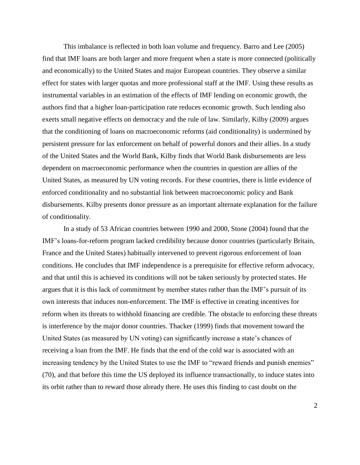This imbalance is reflected in both loan volume and frequency. Barro and Lee (2005) find that IMF loans are both larger and more frequent when a state is more connected (politically and economically) to the United States and major European countries. They observe a similar effect for states with larger quotas and more professional staff at the IMF. Using these results as instrumental variables in an estimation of the effects of IMF lending on economic growth, the authors find that a higher loan-participation rate reduces economic growth. Such lending also exerts small negative effects on democracy and the rule of law. Similarly, Kilby (2009) argues that the conditioning of loans on macroeconomic reforms (aid conditionality) is undermined by persistent pressure for lax enforcement on behalf of powerful donors and their allies. In a study of the United States and the World Bank, Kilby finds that World Bank disbursements are less dependent on macroeconomic performance when the countries in question are allies of the United States, as measured by UN voting records. For these countries, there is little evidence of enforced conditionality and no substantial link between macroeconomic policy and Bank disbursements. Kilby presents donor pressure as an important alternate explanation for the failure of conditionality.

In a study of 53 African countries between 1990 and 2000, Stone (2004) found that the IMF's loans-for-reform program lacked credibility because donor countries (particularly Britain, France and the United States) habitually intervened to prevent rigorous enforcement of loan conditions. He concludes that IMF independence is a prerequisite for effective reform advocacy, and that until this is achieved its conditions will not be taken seriously by protected states. He argues that it is this lack of commitment by member states rather than the IMF's pursuit of its own interests that induces non-enforcement. The IMF is effective in creating incentives for reform when its threats to withhold financing are credible. The obstacle to enforcing these threats is interference by the major donor countries. Thacker (1999) finds that movement toward the United States (as measured by UN voting) can significantly increase a state's chances of receiving a loan from the IMF. He finds that the end of the cold war is associated with an increasing tendency by the United States to use the IMF to "reward friends and punish enemies" (70), and that before this time the US deployed its influence transactionally, to induce states into its orbit rather than to reward those already there. He uses this finding to cast doubt on the

2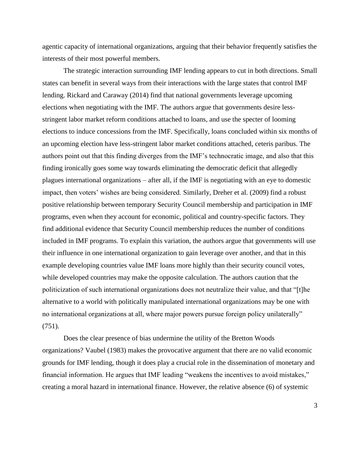agentic capacity of international organizations, arguing that their behavior frequently satisfies the interests of their most powerful members.

The strategic interaction surrounding IMF lending appears to cut in both directions. Small states can benefit in several ways from their interactions with the large states that control IMF lending. Rickard and Caraway (2014) find that national governments leverage upcoming elections when negotiating with the IMF. The authors argue that governments desire lessstringent labor market reform conditions attached to loans, and use the specter of looming elections to induce concessions from the IMF. Specifically, loans concluded within six months of an upcoming election have less-stringent labor market conditions attached, ceteris paribus. The authors point out that this finding diverges from the IMF's technocratic image, and also that this finding ironically goes some way towards eliminating the democratic deficit that allegedly plagues international organizations – after all, if the IMF is negotiating with an eye to domestic impact, then voters' wishes are being considered. Similarly, Dreher et al. (2009) find a robust positive relationship between temporary Security Council membership and participation in IMF programs, even when they account for economic, political and country-specific factors. They find additional evidence that Security Council membership reduces the number of conditions included in IMF programs. To explain this variation, the authors argue that governments will use their influence in one international organization to gain leverage over another, and that in this example developing countries value IMF loans more highly than their security council votes, while developed countries may make the opposite calculation. The authors caution that the politicization of such international organizations does not neutralize their value, and that "[t]he alternative to a world with politically manipulated international organizations may be one with no international organizations at all, where major powers pursue foreign policy unilaterally" (751).

Does the clear presence of bias undermine the utility of the Bretton Woods organizations? Vaubel (1983) makes the provocative argument that there are no valid economic grounds for IMF lending, though it does play a crucial role in the dissemination of monetary and financial information. He argues that IMF leading "weakens the incentives to avoid mistakes," creating a moral hazard in international finance. However, the relative absence (6) of systemic

3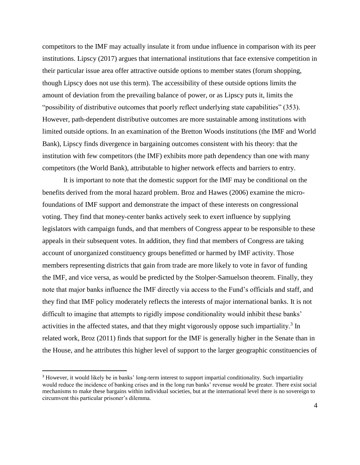competitors to the IMF may actually insulate it from undue influence in comparison with its peer institutions. Lipscy (2017) argues that international institutions that face extensive competition in their particular issue area offer attractive outside options to member states (forum shopping, though Lipscy does not use this term). The accessibility of these outside options limits the amount of deviation from the prevailing balance of power, or as Lipscy puts it, limits the "possibility of distributive outcomes that poorly reflect underlying state capabilities" (353). However, path-dependent distributive outcomes are more sustainable among institutions with limited outside options. In an examination of the Bretton Woods institutions (the IMF and World Bank), Lipscy finds divergence in bargaining outcomes consistent with his theory: that the institution with few competitors (the IMF) exhibits more path dependency than one with many competitors (the World Bank), attributable to higher network effects and barriers to entry.

It is important to note that the domestic support for the IMF may be conditional on the benefits derived from the moral hazard problem. Broz and Hawes (2006) examine the microfoundations of IMF support and demonstrate the impact of these interests on congressional voting. They find that money-center banks actively seek to exert influence by supplying legislators with campaign funds, and that members of Congress appear to be responsible to these appeals in their subsequent votes. In addition, they find that members of Congress are taking account of unorganized constituency groups benefitted or harmed by IMF activity. Those members representing districts that gain from trade are more likely to vote in favor of funding the IMF, and vice versa, as would be predicted by the Stolper-Samuelson theorem. Finally, they note that major banks influence the IMF directly via access to the Fund's officials and staff, and they find that IMF policy moderately reflects the interests of major international banks. It is not difficult to imagine that attempts to rigidly impose conditionality would inhibit these banks' activities in the affected states, and that they might vigorously oppose such impartiality.<sup>3</sup> In related work, Broz (2011) finds that support for the IMF is generally higher in the Senate than in the House, and he attributes this higher level of support to the larger geographic constituencies of

 $\overline{\phantom{a}}$ 

<sup>&</sup>lt;sup>3</sup> However, it would likely be in banks' long-term interest to support impartial conditionality. Such impartiality would reduce the incidence of banking crises and in the long run banks' revenue would be greater. There exist social mechanisms to make these bargains within individual societies, but at the international level there is no sovereign to circumvent this particular prisoner's dilemma.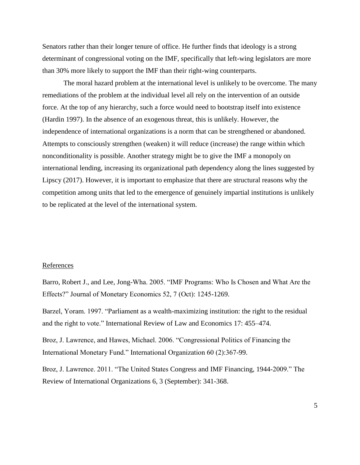Senators rather than their longer tenure of office. He further finds that ideology is a strong determinant of congressional voting on the IMF, specifically that left-wing legislators are more than 30% more likely to support the IMF than their right-wing counterparts.

The moral hazard problem at the international level is unlikely to be overcome. The many remediations of the problem at the individual level all rely on the intervention of an outside force. At the top of any hierarchy, such a force would need to bootstrap itself into existence (Hardin 1997). In the absence of an exogenous threat, this is unlikely. However, the independence of international organizations is a norm that can be strengthened or abandoned. Attempts to consciously strengthen (weaken) it will reduce (increase) the range within which nonconditionality is possible. Another strategy might be to give the IMF a monopoly on international lending, increasing its organizational path dependency along the lines suggested by Lipscy (2017). However, it is important to emphasize that there are structural reasons why the competition among units that led to the emergence of genuinely impartial institutions is unlikely to be replicated at the level of the international system.

## References

Barro, Robert J., and Lee, Jong-Wha. 2005. "IMF Programs: Who Is Chosen and What Are the Effects?" Journal of Monetary Economics 52, 7 (Oct): 1245-1269.

Barzel, Yoram. 1997. "Parliament as a wealth-maximizing institution: the right to the residual and the right to vote." International Review of Law and Economics 17: 455–474.

Broz, J. Lawrence, and Hawes, Michael. 2006. "Congressional Politics of Financing the International Monetary Fund." International Organization 60 (2):367-99.

Broz, J. Lawrence. 2011. "The United States Congress and IMF Financing, 1944-2009." The Review of International Organizations 6, 3 (September): 341-368.